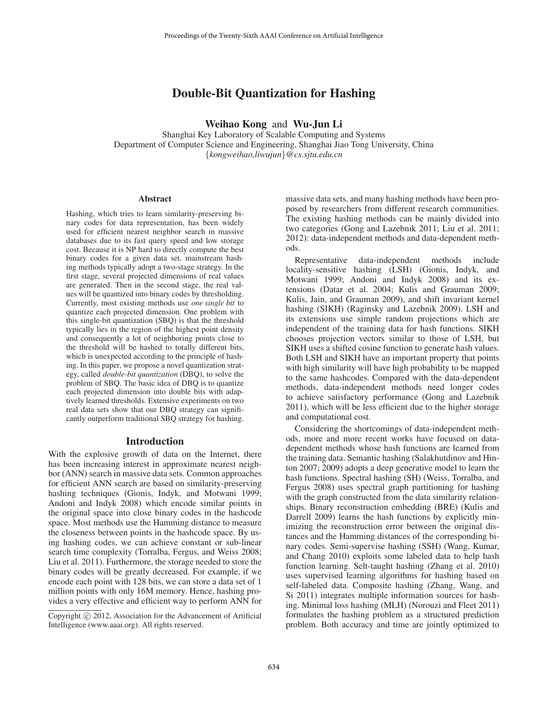# Double-Bit Quantization for Hashing

Weihao Kong and Wu-Jun Li

Shanghai Key Laboratory of Scalable Computing and Systems Department of Computer Science and Engineering, Shanghai Jiao Tong University, China {*kongweihao,liwujun*}*@cs.sjtu.edu.cn*

#### **Abstract**

Hashing, which tries to learn similarity-preserving binary codes for data representation, has been widely used for efficient nearest neighbor search in massive databases due to its fast query speed and low storage cost. Because it is NP hard to directly compute the best binary codes for a given data set, mainstream hashing methods typically adopt a two-stage strategy. In the first stage, several projected dimensions of real values are generated. Then in the second stage, the real values will be quantized into binary codes by thresholding. Currently, most existing methods use *one single bit* to quantize each projected dimension. One problem with this single-bit quantization (SBQ) is that the threshold typically lies in the region of the highest point density and consequently a lot of neighboring points close to the threshold will be hashed to totally different bits, which is unexpected according to the principle of hashing. In this paper, we propose a novel quantization strategy, called *double-bit quantization* (DBQ), to solve the problem of SBQ. The basic idea of DBQ is to quantize each projected dimension into double bits with adaptively learned thresholds. Extensive experiments on two real data sets show that our DBQ strategy can significantly outperform traditional SBQ strategy for hashing.

### Introduction

With the explosive growth of data on the Internet, there has been increasing interest in approximate nearest neighbor (ANN) search in massive data sets. Common approaches for efficient ANN search are based on similarity-preserving hashing techniques (Gionis, Indyk, and Motwani 1999; Andoni and Indyk 2008) which encode similar points in the original space into close binary codes in the hashcode space. Most methods use the Hamming distance to measure the closeness between points in the hashcode space. By using hashing codes, we can achieve constant or sub-linear search time complexity (Torralba, Fergus, and Weiss 2008; Liu et al. 2011). Furthermore, the storage needed to store the binary codes will be greatly decreased. For example, if we encode each point with 128 bits, we can store a data set of 1 million points with only 16M memory. Hence, hashing provides a very effective and efficient way to perform ANN for

massive data sets, and many hashing methods have been proposed by researchers from different research communities. The existing hashing methods can be mainly divided into two categories (Gong and Lazebnik 2011; Liu et al. 2011; 2012): data-independent methods and data-dependent methods.

Representative data-independent methods include locality-sensitive hashing (LSH) (Gionis, Indyk, and Motwani 1999; Andoni and Indyk 2008) and its extensions (Datar et al. 2004; Kulis and Grauman 2009; Kulis, Jain, and Grauman 2009), and shift invariant kernel hashing (SIKH) (Raginsky and Lazebnik 2009). LSH and its extensions use simple random projections which are independent of the training data for hash functions. SIKH chooses projection vectors similar to those of LSH, but SIKH uses a shifted cosine function to generate hash values. Both LSH and SIKH have an important property that points with high similarity will have high probability to be mapped to the same hashcodes. Compared with the data-dependent methods, data-independent methods need longer codes to achieve satisfactory performance (Gong and Lazebnik 2011), which will be less efficient due to the higher storage and computational cost.

Considering the shortcomings of data-independent methods, more and more recent works have focused on datadependent methods whose hash functions are learned from the training data. Semantic hashing (Salakhutdinov and Hinton 2007; 2009) adopts a deep generative model to learn the hash functions. Spectral hashing (SH) (Weiss, Torralba, and Fergus 2008) uses spectral graph partitioning for hashing with the graph constructed from the data similarity relationships. Binary reconstruction embedding (BRE) (Kulis and Darrell 2009) learns the hash functions by explicitly minimizing the reconstruction error between the original distances and the Hamming distances of the corresponding binary codes. Semi-supervise hashing (SSH) (Wang, Kumar, and Chang 2010) exploits some labeled data to help hash function learning. Selt-taught hashing (Zhang et al. 2010) uses supervised learning algorithms for hashing based on self-labeled data. Composite hashing (Zhang, Wang, and Si 2011) integrates multiple information sources for hashing. Minimal loss hashing (MLH) (Norouzi and Fleet 2011) formulates the hashing problem as a structured prediction problem. Both accuracy and time are jointly optimized to

Copyright (c) 2012, Association for the Advancement of Artificial Intelligence (www.aaai.org). All rights reserved.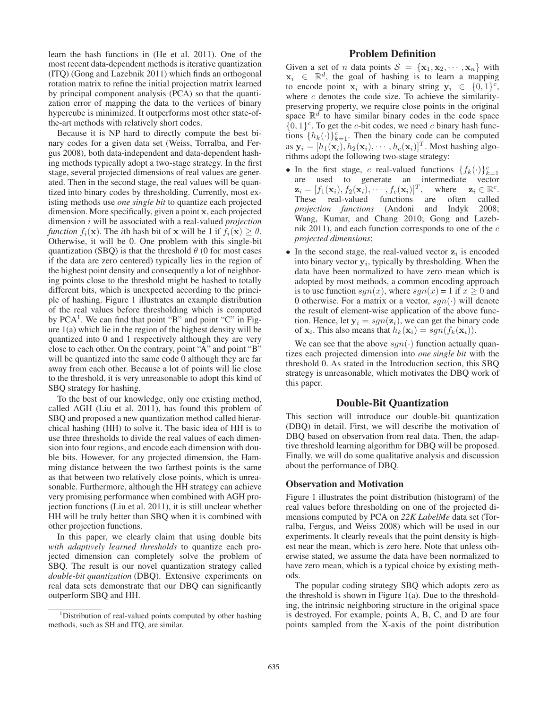learn the hash functions in (He et al. 2011). One of the most recent data-dependent methods is iterative quantization (ITQ) (Gong and Lazebnik 2011) which finds an orthogonal rotation matrix to refine the initial projection matrix learned by principal component analysis (PCA) so that the quantization error of mapping the data to the vertices of binary hypercube is minimized. It outperforms most other state-ofthe-art methods with relatively short codes.

Because it is NP hard to directly compute the best binary codes for a given data set (Weiss, Torralba, and Fergus 2008), both data-independent and data-dependent hashing methods typically adopt a two-stage strategy. In the first stage, several projected dimensions of real values are generated. Then in the second stage, the real values will be quantized into binary codes by thresholding. Currently, most existing methods use *one single bit* to quantize each projected dimension. More specifically, given a point x, each projected dimension i will be associated with a real-valued *projection function*  $f_i(\mathbf{x})$ . The *i*th hash bit of x will be 1 if  $f_i(\mathbf{x}) \ge \theta$ . Otherwise, it will be 0. One problem with this single-bit quantization (SBQ) is that the threshold  $\theta$  (0 for most cases if the data are zero centered) typically lies in the region of the highest point density and consequently a lot of neighboring points close to the threshold might be hashed to totally different bits, which is unexpected according to the principle of hashing. Figure 1 illustrates an example distribution of the real values before thresholding which is computed by PCA<sup>1</sup>. We can find that point "B" and point "C" in Figure 1(a) which lie in the region of the highest density will be quantized into 0 and 1 respectively although they are very close to each other. On the contrary, point "A" and point "B" will be quantized into the same code 0 although they are far away from each other. Because a lot of points will lie close to the threshold, it is very unreasonable to adopt this kind of SBQ strategy for hashing.

To the best of our knowledge, only one existing method, called AGH (Liu et al. 2011), has found this problem of SBQ and proposed a new quantization method called hierarchical hashing (HH) to solve it. The basic idea of HH is to use three thresholds to divide the real values of each dimension into four regions, and encode each dimension with double bits. However, for any projected dimension, the Hamming distance between the two farthest points is the same as that between two relatively close points, which is unreasonable. Furthermore, although the HH strategy can achieve very promising performance when combined with AGH projection functions (Liu et al. 2011), it is still unclear whether HH will be truly better than SBQ when it is combined with other projection functions.

In this paper, we clearly claim that using double bits *with adaptively learned thresholds* to quantize each projected dimension can completely solve the problem of SBQ. The result is our novel quantization strategy called *double-bit quantization* (DBQ). Extensive experiments on real data sets demonstrate that our DBQ can significantly outperform SBQ and HH.

# Problem Definition

Given a set of *n* data points  $S = {\mathbf{x}_1, \mathbf{x}_2, \cdots, \mathbf{x}_n}$  with  $x_i \in \mathbb{R}^d$ , the goal of hashing is to learn a mapping to encode point  $\mathbf{x}_i$  with a binary string  $\mathbf{y}_i \in \{0,1\}^c$ , where  $c$  denotes the code size. To achieve the similaritypreserving property, we require close points in the original space  $\mathbb{R}^d$  to have similar binary codes in the code space  ${0, 1}^c$ . To get the c-bit codes, we need c binary hash functions  $\{h_k(\cdot)\}_{k=1}^c$ . Then the binary code can be computed as  $\mathbf{y}_i = [h_1(\mathbf{x}_i), h_2(\mathbf{x}_i), \cdots, h_c(\mathbf{x}_i)]^T$ . Most hashing algorithms adopt the following two-stage strategy:

- In the first stage, c real-valued functions  $\{f_k(\cdot)\}_{k=1}^c$ are used to generate an intermediate vector  $\mathbf{z}_i = [f_1(\mathbf{x}_i), f_2(\mathbf{x}_i), \cdots, f_c(\mathbf{x}_i)]^T$ , where  $\mathbf{z}_i \in \mathbb{R}^c$ . These real-valued functions are often called *projection functions* (Andoni and Indyk 2008; Wang, Kumar, and Chang 2010; Gong and Lazebnik 2011), and each function corresponds to one of the  $c$ *projected dimensions*;
- In the second stage, the real-valued vector  $z_i$  is encoded into binary vector  $y_i$ , typically by thresholding. When the data have been normalized to have zero mean which is adopted by most methods, a common encoding approach is to use function  $sgn(x)$ , where  $sgn(x) = 1$  if  $x \ge 0$  and 0 otherwise. For a matrix or a vector,  $sgn(\cdot)$  will denote the result of element-wise application of the above function. Hence, let  $y_i = sgn(z_i)$ , we can get the binary code of  $\mathbf{x}_i$ . This also means that  $h_k(\mathbf{x}_i) = sgn(f_k(\mathbf{x}_i))$ .

We can see that the above  $sgn(\cdot)$  function actually quantizes each projected dimension into *one single bit* with the threshold 0. As stated in the Introduction section, this SBQ strategy is unreasonable, which motivates the DBQ work of this paper.

### Double-Bit Quantization

This section will introduce our double-bit quantization (DBQ) in detail. First, we will describe the motivation of DBQ based on observation from real data. Then, the adaptive threshold learning algorithm for DBQ will be proposed. Finally, we will do some qualitative analysis and discussion about the performance of DBQ.

### Observation and Motivation

Figure 1 illustrates the point distribution (histogram) of the real values before thresholding on one of the projected dimensions computed by PCA on *22K LabelMe* data set (Torralba, Fergus, and Weiss 2008) which will be used in our experiments. It clearly reveals that the point density is highest near the mean, which is zero here. Note that unless otherwise stated, we assume the data have been normalized to have zero mean, which is a typical choice by existing methods.

The popular coding strategy SBQ which adopts zero as the threshold is shown in Figure 1(a). Due to the thresholding, the intrinsic neighboring structure in the original space is destroyed. For example, points A, B, C, and D are four points sampled from the X-axis of the point distribution

<sup>&</sup>lt;sup>1</sup>Distribution of real-valued points computed by other hashing methods, such as SH and ITQ, are similar.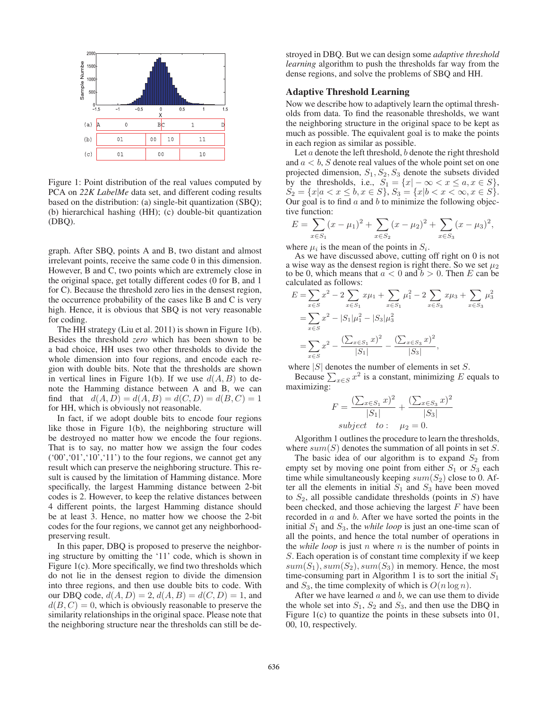

Figure 1: Point distribution of the real values computed by PCA on *22K LabelMe* data set, and different coding results based on the distribution: (a) single-bit quantization (SBQ); (b) hierarchical hashing (HH); (c) double-bit quantization (DBQ).

graph. After SBQ, points A and B, two distant and almost irrelevant points, receive the same code 0 in this dimension. However, B and C, two points which are extremely close in the original space, get totally different codes (0 for B, and 1 for C). Because the threshold zero lies in the densest region, the occurrence probability of the cases like B and C is very high. Hence, it is obvious that SBQ is not very reasonable for coding.

The HH strategy (Liu et al. 2011) is shown in Figure 1(b). Besides the threshold *zero* which has been shown to be a bad choice, HH uses two other thresholds to divide the whole dimension into four regions, and encode each region with double bits. Note that the thresholds are shown in vertical lines in Figure 1(b). If we use  $d(A, B)$  to denote the Hamming distance between A and B, we can find that  $d(A, D) = d(A, B) = d(C, D) = d(B, C) = 1$ for HH, which is obviously not reasonable.

In fact, if we adopt double bits to encode four regions like those in Figure 1(b), the neighboring structure will be destroyed no matter how we encode the four regions. That is to say, no matter how we assign the four codes  $(0, 0, 0, 0, 1, 1, 1)$  to the four regions, we cannot get any result which can preserve the neighboring structure. This result is caused by the limitation of Hamming distance. More specifically, the largest Hamming distance between 2-bit codes is 2. However, to keep the relative distances between 4 different points, the largest Hamming distance should be at least 3. Hence, no matter how we choose the 2-bit codes for the four regions, we cannot get any neighborhoodpreserving result.

In this paper, DBQ is proposed to preserve the neighboring structure by omitting the '11' code, which is shown in Figure 1(c). More specifically, we find two thresholds which do not lie in the densest region to divide the dimension into three regions, and then use double bits to code. With our DBQ code,  $d(A, D) = 2$ ,  $d(A, B) = d(C, D) = 1$ , and  $d(B, C) = 0$ , which is obviously reasonable to preserve the similarity relationships in the original space. Please note that the neighboring structure near the thresholds can still be de-

stroyed in DBQ. But we can design some *adaptive threshold learning* algorithm to push the thresholds far way from the dense regions, and solve the problems of SBQ and HH.

### Adaptive Threshold Learning

Now we describe how to adaptively learn the optimal thresholds from data. To find the reasonable thresholds, we want the neighboring structure in the original space to be kept as much as possible. The equivalent goal is to make the points in each region as similar as possible.

Let  $a$  denote the left threshold,  $b$  denote the right threshold and  $a < b$ , S denote real values of the whole point set on one projected dimension,  $S_1, S_2, S_3$  denote the subsets divided by the thresholds, i.e.,  $S_1 = \{x | -\infty < x \leq a, x \in S\},\$  $S_2 = \{x | a < x \le b, x \in S\}, S_3 = \{x | b < x < \infty, x \in S\}.$ Our goal is to find  $a$  and  $b$  to minimize the following objective function:

$$
E = \sum_{x \in S_1} (x - \mu_1)^2 + \sum_{x \in S_2} (x - \mu_2)^2 + \sum_{x \in S_3} (x - \mu_3)^2,
$$

where  $\mu_i$  is the mean of the points in  $S_i$ .

As we have discussed above, cutting off right on 0 is not a wise way as the densest region is right there. So we set  $\mu_2$ to be 0, which means that  $a < 0$  and  $b > 0$ . Then E can be calculated as follows:

$$
E = \sum_{x \in S} x^2 - 2 \sum_{x \in S_1} x\mu_1 + \sum_{x \in S_1} \mu_1^2 - 2 \sum_{x \in S_3} x\mu_3 + \sum_{x \in S_3} \mu_3^2
$$
  
= 
$$
\sum_{x \in S} x^2 - |S_1|\mu_1^2 - |S_3|\mu_3^2
$$
  
= 
$$
\sum_{x \in S} x^2 - \frac{(\sum_{x \in S_1} x)^2}{|S_1|} - \frac{(\sum_{x \in S_3} x)^2}{|S_3|},
$$

where  $|S|$  denotes the number of elements in set S.

Because  $\sum_{x \in S} x^2$  is a constant, minimizing E equals to maximizing:

$$
F = \frac{(\sum_{x \in S_1} x)^2}{|S_1|} + \frac{(\sum_{x \in S_3} x)^2}{|S_3|}
$$
  
subject to:  $\mu_2 = 0$ .

Algorithm 1 outlines the procedure to learn the thresholds, where  $sum(S)$  denotes the summation of all points in set S.

The basic idea of our algorithm is to expand  $S_2$  from empty set by moving one point from either  $S_1$  or  $S_3$  each time while simultaneously keeping  $sum(S_2)$  close to 0. After all the elements in initial  $S_1$  and  $S_3$  have been moved to  $S_2$ , all possible candidate thresholds (points in S) have been checked, and those achieving the largest  $F$  have been recorded in  $a$  and  $b$ . After we have sorted the points in the initial  $S_1$  and  $S_3$ , the *while loop* is just an one-time scan of all the points, and hence the total number of operations in the *while loop* is just n where  $n$  is the number of points in S. Each operation is of constant time complexity if we keep  $sum(S_1), sum(S_2), sum(S_3)$  in memory. Hence, the most time-consuming part in Algorithm 1 is to sort the initial  $S_1$ and  $S_3$ , the time complexity of which is  $O(n \log n)$ .

After we have learned  $a$  and  $b$ , we can use them to divide the whole set into  $S_1$ ,  $S_2$  and  $S_3$ , and then use the DBQ in Figure 1(c) to quantize the points in these subsets into 01, 00, 10, respectively.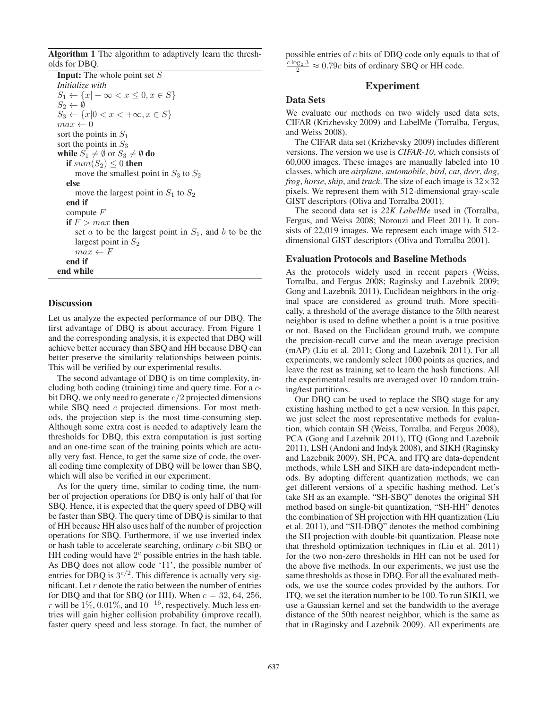Algorithm 1 The algorithm to adaptively learn the thresholds for DBQ.

**Input:** The whole point set  $S$ *Initialize with*  $S_1 \leftarrow \{x | -\infty < x \leq 0, x \in S\}$  $S_2 \leftarrow \emptyset$  $S_3 \leftarrow \{x | 0 < x < +\infty, x \in S\}$  $max \leftarrow 0$ sort the points in  $S_1$ sort the points in  $S_3$ while  $S_1 \neq \emptyset$  or  $S_3 \neq \emptyset$  do if  $sum(S_2) \leq 0$  then move the smallest point in  $S_3$  to  $S_2$ else move the largest point in  $S_1$  to  $S_2$ end if compute F if  $F > max$  then set  $a$  to be the largest point in  $S_1$ , and  $b$  to be the largest point in  $S_2$  $max \leftarrow F$ end if end while

### **Discussion**

Let us analyze the expected performance of our DBQ. The first advantage of DBQ is about accuracy. From Figure 1 and the corresponding analysis, it is expected that DBQ will achieve better accuracy than SBQ and HH because DBQ can better preserve the similarity relationships between points. This will be verified by our experimental results.

The second advantage of DBQ is on time complexity, including both coding (training) time and query time. For a cbit DBQ, we only need to generate  $c/2$  projected dimensions while SBQ need c projected dimensions. For most methods, the projection step is the most time-consuming step. Although some extra cost is needed to adaptively learn the thresholds for DBQ, this extra computation is just sorting and an one-time scan of the training points which are actually very fast. Hence, to get the same size of code, the overall coding time complexity of DBQ will be lower than SBQ, which will also be verified in our experiment.

As for the query time, similar to coding time, the number of projection operations for DBQ is only half of that for SBQ. Hence, it is expected that the query speed of DBQ will be faster than SBQ. The query time of DBQ is similar to that of HH because HH also uses half of the number of projection operations for SBQ. Furthermore, if we use inverted index or hash table to accelerate searching, ordinary c-bit SBQ or HH coding would have  $2<sup>c</sup>$  possible entries in the hash table. As DBQ does not allow code '11', the possible number of entries for DBQ is  $3^{c/2}$ . This difference is actually very significant. Let  $r$  denote the ratio between the number of entries for DBQ and that for SBQ (or HH). When  $c = 32, 64, 256$ , r will be  $1\%, 0.01\%,$  and  $10^{-16}$ , respectively. Much less entries will gain higher collision probability (improve recall), faster query speed and less storage. In fact, the number of possible entries of c bits of DBQ code only equals to that of  $\frac{c \log_2 3}{2} \approx 0.79c$  bits of ordinary SBQ or HH code.

### Experiment

### Data Sets

We evaluate our methods on two widely used data sets, CIFAR (Krizhevsky 2009) and LabelMe (Torralba, Fergus, and Weiss 2008).

The CIFAR data set (Krizhevsky 2009) includes different versions. The version we use is *CIFAR-10*, which consists of 60,000 images. These images are manually labeled into 10 classes, which are *airplane*, *automobile*, *bird*, *cat*, *deer*, *dog*, *frog*, *horse*, *ship*, and *truck*. The size of each image is  $32 \times 32$ pixels. We represent them with 512-dimensional gray-scale GIST descriptors (Oliva and Torralba 2001).

The second data set is *22K LabelMe* used in (Torralba, Fergus, and Weiss 2008; Norouzi and Fleet 2011). It consists of 22,019 images. We represent each image with 512 dimensional GIST descriptors (Oliva and Torralba 2001).

#### Evaluation Protocols and Baseline Methods

As the protocols widely used in recent papers (Weiss, Torralba, and Fergus 2008; Raginsky and Lazebnik 2009; Gong and Lazebnik 2011), Euclidean neighbors in the original space are considered as ground truth. More specifically, a threshold of the average distance to the 50th nearest neighbor is used to define whether a point is a true positive or not. Based on the Euclidean ground truth, we compute the precision-recall curve and the mean average precision (mAP) (Liu et al. 2011; Gong and Lazebnik 2011). For all experiments, we randomly select 1000 points as queries, and leave the rest as training set to learn the hash functions. All the experimental results are averaged over 10 random training/test partitions.

Our DBQ can be used to replace the SBQ stage for any existing hashing method to get a new version. In this paper, we just select the most representative methods for evaluation, which contain SH (Weiss, Torralba, and Fergus 2008), PCA (Gong and Lazebnik 2011), ITQ (Gong and Lazebnik 2011), LSH (Andoni and Indyk 2008), and SIKH (Raginsky and Lazebnik 2009). SH, PCA, and ITQ are data-dependent methods, while LSH and SIKH are data-independent methods. By adopting different quantization methods, we can get different versions of a specific hashing method. Let's take SH as an example. "SH-SBQ" denotes the original SH method based on single-bit quantization, "SH-HH" denotes the combination of SH projection with HH quantization (Liu et al. 2011), and "SH-DBQ" denotes the method combining the SH projection with double-bit quantization. Please note that threshold optimization techniques in (Liu et al. 2011) for the two non-zero thresholds in HH can not be used for the above five methods. In our experiments, we just use the same thresholds as those in DBQ. For all the evaluated methods, we use the source codes provided by the authors. For ITQ, we set the iteration number to be 100. To run SIKH, we use a Gaussian kernel and set the bandwidth to the average distance of the 50th nearest neighbor, which is the same as that in (Raginsky and Lazebnik 2009). All experiments are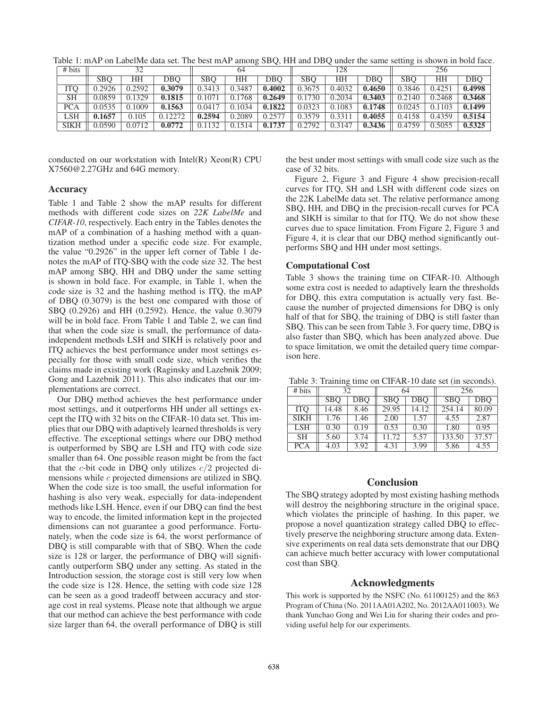| # bits      | 32         |        |         | 64         |        |            | 128        |        |        | 256        |        |        |
|-------------|------------|--------|---------|------------|--------|------------|------------|--------|--------|------------|--------|--------|
|             | <b>SBO</b> | HΗ     | DBO     | <b>SBO</b> | HH     | <b>DBO</b> | <b>SBO</b> | HH     | DBO    | <b>SBO</b> | ΗH     | DBO    |
| ITO         | 0.2926     | 0.2592 | 0.3079  | 0.3413     | 0.3487 | 0.4002     | 0.3675     | 0.4032 | 0.4650 | 0.3846     | 0.4251 | 0.4998 |
| <b>SH</b>   | 0.0859     | 0.1329 | 0.1815  | 0.1071     | 0.1768 | 0.2649     | 0.1730     | 0.2034 | 0.3403 | 0.2140     | 0.2468 | 0.3468 |
| <b>PCA</b>  | 0.0535     | 1009   | 0.1563  | 0.0417     | 0.1034 | 0.1822     | 0.0323     | 0.1083 | 0.1748 | 0.0245     | 0.1103 | 0.1499 |
| LSH         | 0.1657     | 0.105  | 0.12272 | 0.2594     | 0.2089 | 0.2577     | 0.3579     | 0.3311 | 0.4055 | 0.4158     | 0.4359 | 0.5154 |
| <b>SIKH</b> | 0.0590     | 0.0712 | 0.0772  | 0.1132     | 0.1514 | 0.1737     | 0.2792     | 0.3147 | 0.3436 | 0.4759     | 0.5055 | 0.5325 |

Table 1: mAP on LabelMe data set. The best mAP among SBQ, HH and DBQ under the same setting is shown in bold face.

conducted on our workstation with Intel(R) Xeon(R) CPU X7560@2.27GHz and 64G memory.

### Accuracy

Table 1 and Table 2 show the mAP results for different methods with different code sizes on *22K LabelMe* and *CIFAR-10*, respectively. Each entry in the Tables denotes the mAP of a combination of a hashing method with a quantization method under a specific code size. For example, the value "0.2926" in the upper left corner of Table 1 denotes the mAP of ITQ-SBQ with the code size 32. The best mAP among SBQ, HH and DBQ under the same setting is shown in bold face. For example, in Table 1, when the code size is 32 and the hashing method is ITQ, the mAP of DBQ (0.3079) is the best one compared with those of SBQ (0.2926) and HH (0.2592). Hence, the value 0.3079 will be in bold face. From Table 1 and Table 2, we can find that when the code size is small, the performance of dataindependent methods LSH and SIKH is relatively poor and ITQ achieves the best performance under most settings especially for those with small code size, which verifies the claims made in existing work (Raginsky and Lazebnik 2009; Gong and Lazebnik 2011). This also indicates that our implementations are correct.

Our DBQ method achieves the best performance under most settings, and it outperforms HH under all settings except the ITQ with 32 bits on the CIFAR-10 data set. This implies that our DBQ with adaptively learned thresholds is very effective. The exceptional settings where our DBQ method is outperformed by SBQ are LSH and ITQ with code size smaller than 64. One possible reason might be from the fact that the *c*-bit code in DBQ only utilizes  $c/2$  projected dimensions while c projected dimensions are utilized in SBQ. When the code size is too small, the useful information for hashing is also very weak, especially for data-independent methods like LSH. Hence, even if our DBQ can find the best way to encode, the limited information kept in the projected dimensions can not guarantee a good performance. Fortunately, when the code size is 64, the worst performance of DBQ is still comparable with that of SBQ. When the code size is 128 or larger, the performance of DBQ will significantly outperform SBQ under any setting. As stated in the Introduction session, the storage cost is still very low when the code size is 128. Hence, the setting with code size 128 can be seen as a good tradeoff between accuracy and storage cost in real systems. Please note that although we argue that our method can achieve the best performance with code size larger than 64, the overall performance of DBQ is still

the best under most settings with small code size such as the case of 32 bits.

Figure 2, Figure 3 and Figure 4 show precision-recall curves for ITQ, SH and LSH with different code sizes on the 22K LabelMe data set. The relative performance among SBQ, HH, and DBQ in the precision-recall curves for PCA and SIKH is similar to that for ITQ. We do not show these curves due to space limitation. From Figure 2, Figure 3 and Figure 4, it is clear that our DBQ method significantly outperforms SBQ and HH under most settings.

### Computational Cost

Table 3 shows the training time on CIFAR-10. Although some extra cost is needed to adaptively learn the thresholds for DBQ, this extra computation is actually very fast. Because the number of projected dimensions for DBQ is only half of that for SBQ, the training of DBQ is still faster than SBQ. This can be seen from Table 3. For query time, DBQ is also faster than SBQ, which has been analyzed above. Due to space limitation, we omit the detailed query time comparison here.

Table 3: Training time on CIFAR-10 date set (in seconds).

| # bits      | 32         |      | 64         |       | 256        |       |  |
|-------------|------------|------|------------|-------|------------|-------|--|
|             | <b>SBO</b> | DBO  | <b>SBO</b> | DBO   | <b>SBO</b> | DBO   |  |
| <b>ITO</b>  | 14.48      | 8.46 | 29.95      | 14.12 | 254.14     | 80.09 |  |
| <b>SIKH</b> | 1.76       | 1.46 | 2.00       | 1.57  | 4.55       | 2.87  |  |
| <b>LSH</b>  | 0.30       | 0.19 | 0.53       | 0.30  | 1.80       | 0.95  |  |
| <b>SH</b>   | 5.60       | 3.74 | 11.72      | 5.57  | 133.50     | 37.57 |  |
| <b>PCA</b>  | 4.03       | 3.92 | 4.31       | 3.99  | 5.86       | 4.55  |  |

### Conclusion

The SBQ strategy adopted by most existing hashing methods will destroy the neighboring structure in the original space, which violates the principle of hashing. In this paper, we propose a novel quantization strategy called DBQ to effectively preserve the neighboring structure among data. Extensive experiments on real data sets demonstrate that our DBQ can achieve much better accuracy with lower computational cost than SBQ.

#### Acknowledgments

This work is supported by the NSFC (No. 61100125) and the 863 Program of China (No. 2011AA01A202, No. 2012AA011003). We thank Yunchao Gong and Wei Liu for sharing their codes and providing useful help for our experiments.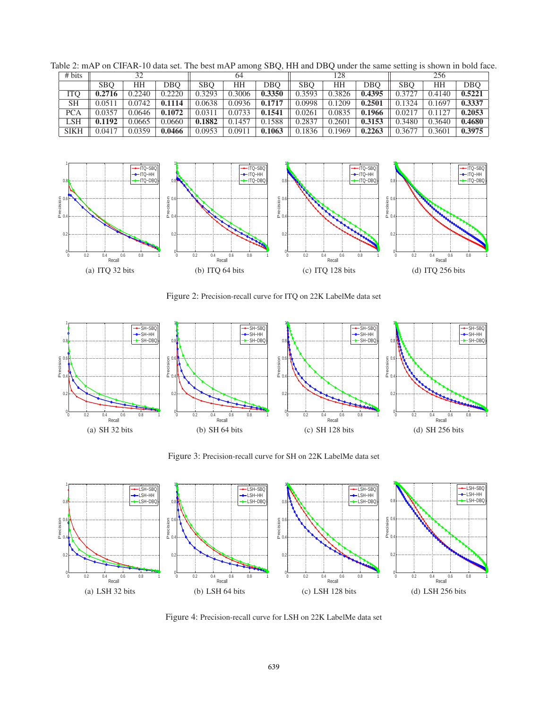| # bits      | 32         |        |        | 64         |        |            | 128        |           |        | 256        |        |        |
|-------------|------------|--------|--------|------------|--------|------------|------------|-----------|--------|------------|--------|--------|
|             | <b>SBO</b> | ΗH     | DBO    | <b>SBO</b> | ΗH     | <b>DBO</b> | <b>SBO</b> | <b>HH</b> | DBO    | <b>SBO</b> | HH     | DBO    |
| <b>ITO</b>  | 0.2716     | 0.2240 | 0.2220 | 0.3293     | 0.3006 | 0.3350     | 0.3593     | 0.3826    | 0.4395 | 0.3727     | 0.4140 | 0.5221 |
| <b>SH</b>   | 0.0511     | 0.0742 | 0.1114 | 0.0638     | 0.0936 | 0.1717     | 0.0998     | 0.1209    | 0.2501 | 0.1324     | 0.1697 | 0.3337 |
| <b>PCA</b>  | 0.0357     | 0.0646 | 0.1072 | 0.0311     | 0.0733 | 0.1541     | 0.0261     | 0.0835    | 0.1966 | 0.0217     | 0.1127 | 0.2053 |
| LSH         | 0.1192     | 0.0665 | 0.0660 | 0.1882     | 0.1457 | 0.1588     | 0.2837     | 0.2601    | 0.3153 | 0.3480     | 0.3640 | 0.4680 |
| <b>SIKH</b> | 0.0417     | 0.0359 | 0.0466 | 0.0953     | 0.0911 | 0.1063     | 0.1836     | 0.1969    | 0.2263 | 0.3677     | 0.3601 | 0.3975 |

Table 2: mAP on CIFAR-10 data set. The best mAP among SBQ, HH and DBQ under the same setting is shown in bold face.



Figure 2: Precision-recall curve for ITQ on 22K LabelMe data set



Figure 3: Precision-recall curve for SH on 22K LabelMe data set



Figure 4: Precision-recall curve for LSH on 22K LabelMe data set